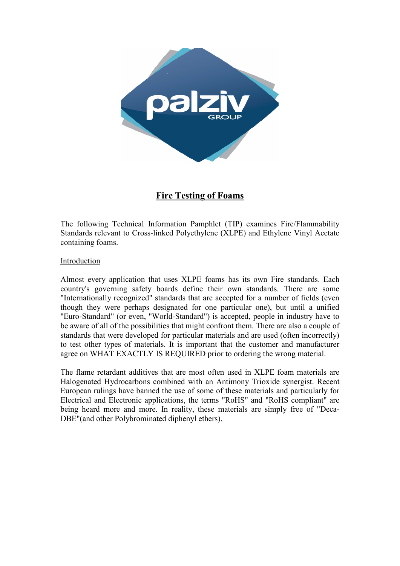

# **Fire Testing of Foams**

The following Technical Information Pamphlet (TIP) examines Fire/Flammability Standards relevant to Cross-linked Polyethylene (XLPE) and Ethylene Vinyl Acetate containing foams.

### Introduction

Almost every application that uses XLPE foams has its own Fire standards. Each country's governing safety boards define their own standards. There are some "Internationally recognized" standards that are accepted for a number of fields (even though they were perhaps designated for one particular one), but until a unified "Euro-Standard" (or even, "World-Standard") is accepted, people in industry have to be aware of all of the possibilities that might confront them. There are also a couple of standards that were developed for particular materials and are used (often incorrectly) to test other types of materials. It is important that the customer and manufacturer agree on WHAT EXACTLY IS REQUIRED prior to ordering the wrong material.

The flame retardant additives that are most often used in XLPE foam materials are Halogenated Hydrocarbons combined with an Antimony Trioxide synergist. Recent European rulings have banned the use of some of these materials and particularly for Electrical and Electronic applications, the terms "RoHS" and "RoHS compliant" are being heard more and more. In reality, these materials are simply free of "Deca-DBE"(and other Polybrominated diphenyl ethers).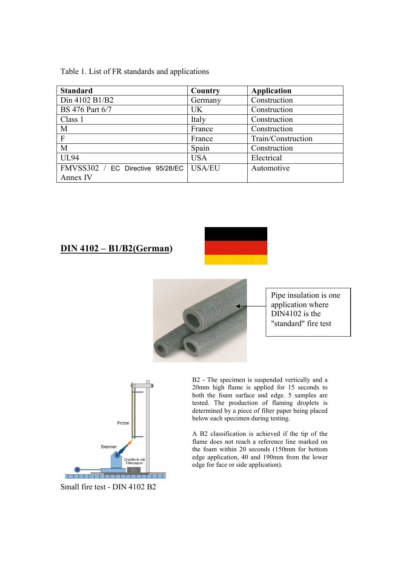Table 1. List of FR standards and applications

| <b>Standard</b>                              | Country       | <b>Application</b> |
|----------------------------------------------|---------------|--------------------|
| Din 4102 B1/B2                               | Germany       | Construction       |
| <b>BS</b> 476 Part 6/7                       | <b>UK</b>     | Construction       |
| Class 1                                      | Italy         | Construction       |
| M                                            | France        | Construction       |
| $\mathbf{F}$                                 | France        | Train/Construction |
| M                                            | Spain         | Construction       |
| <b>UL94</b>                                  | <b>USA</b>    | Electrical         |
| FMVSS302 / EC Directive 95/28/EC<br>Annex IV | <b>USA/EU</b> | Automotive         |

## **DIN 4102 – B1/B2(German)**





Pipe insulation is one application where DIN4102 is the "standard" fire test



Small fire test - DIN 4102 B2

B2 - The specimen is suspended vertically and a 20mm high flame is applied for 15 seconds to both the foam surface and edge. 5 samples are tested. The production of flaming droplets is determined by a piece of filter paper being placed below each specimen during testing.

A B2 classification is achieved if the tip of the flame does not reach a reference line marked on the foam within 20 seconds (150mm for bottom edge application, 40 and 190mm from the lower edge for face or side application).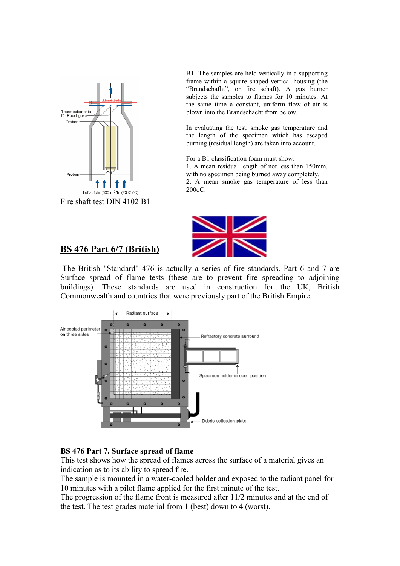

Fire shaft test DIN 4102 B1

B1- The samples are held vertically in a supporting frame within a square shaped vertical housing (the "Brandschafht", or fire schaft). A gas burner subjects the samples to flames for 10 minutes. At the same time a constant, uniform flow of air is blown into the Brandschacht from below.

In evaluating the test, smoke gas temperature and the length of the specimen which has escaped burning (residual length) are taken into account.

For a B1 classification foam must show:

1. A mean residual length of not less than 150mm, with no specimen being burned away completely.

2. A mean smoke gas temperature of less than 200oC.



## **BS 476 Part 6/7 (British)**

 The British "Standard" 476 is actually a series of fire standards. Part 6 and 7 are Surface spread of flame tests (these are to prevent fire spreading to adjoining buildings). These standards are used in construction for the UK, British Commonwealth and countries that were previously part of the British Empire.



### **BS 476 Part 7. Surface spread of flame**

This test shows how the spread of flames across the surface of a material gives an indication as to its ability to spread fire.

The sample is mounted in a water-cooled holder and exposed to the radiant panel for 10 minutes with a pilot flame applied for the first minute of the test.

The progression of the flame front is measured after 11/2 minutes and at the end of the test. The test grades material from 1 (best) down to 4 (worst).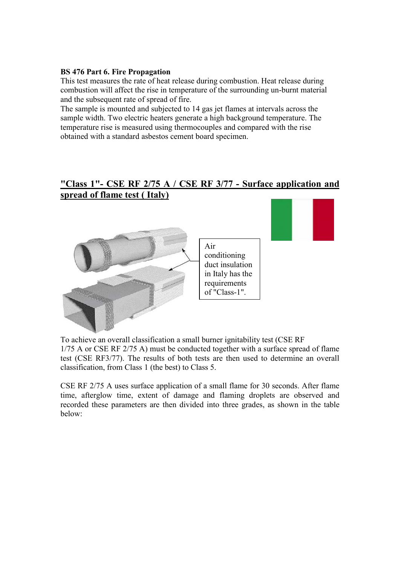### **BS 476 Part 6. Fire Propagation**

This test measures the rate of heat release during combustion. Heat release during combustion will affect the rise in temperature of the surrounding un-burnt material and the subsequent rate of spread of fire.

The sample is mounted and subjected to 14 gas jet flames at intervals across the sample width. Two electric heaters generate a high background temperature. The temperature rise is measured using thermocouples and compared with the rise obtained with a standard asbestos cement board specimen.

# **"Class 1"- CSE RF 2/75 A / CSE RF 3/77 - Surface application and spread of flame test ( Italy)**



To achieve an overall classification a small burner ignitability test (CSE RF 1/75 A or CSE RF 2/75 A) must be conducted together with a surface spread of flame test (CSE RF3/77). The results of both tests are then used to determine an overall classification, from Class 1 (the best) to Class 5.

CSE RF 2/75 A uses surface application of a small flame for 30 seconds. After flame time, afterglow time, extent of damage and flaming droplets are observed and recorded these parameters are then divided into three grades, as shown in the table below: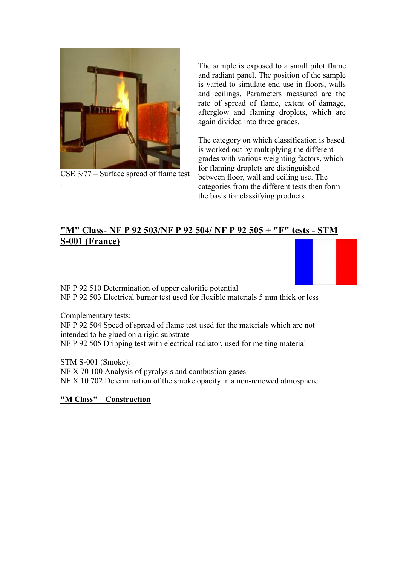

CSE 3/77 – Surface spread of flame test

The sample is exposed to a small pilot flame and radiant panel. The position of the sample is varied to simulate end use in floors, walls and ceilings. Parameters measured are the rate of spread of flame, extent of damage, afterglow and flaming droplets, which are again divided into three grades.

The category on which classification is based is worked out by multiplying the different grades with various weighting factors, which for flaming droplets are distinguished between floor, wall and ceiling use. The categories from the different tests then form the basis for classifying products.

# **"M" Class- NF P 92 503/NF P 92 504/ NF P 92 505 + "F" tests - STM S-001 (France)**

NF P 92 510 Determination of upper calorific potential NF P 92 503 Electrical burner test used for flexible materials 5 mm thick or less

Complementary tests:

.

NF P 92 504 Speed of spread of flame test used for the materials which are not intended to be glued on a rigid substrate NF P 92 505 Dripping test with electrical radiator, used for melting material

STM S-001 (Smoke): NF X 70 100 Analysis of pyrolysis and combustion gases NF X 10 702 Determination of the smoke opacity in a non-renewed atmosphere

**"M Class" – Construction**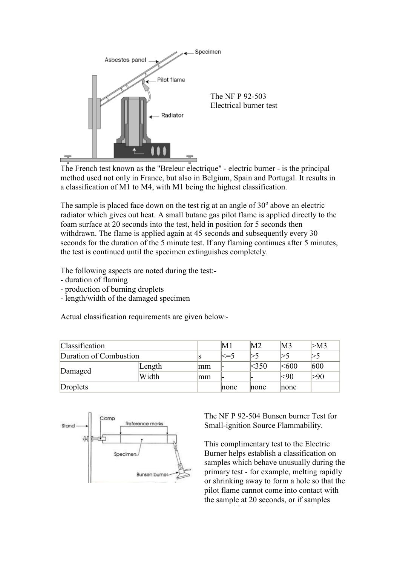

The French test known as the "Breleur electrique" - electric burner - is the principal method used not only in France, but also in Belgium, Spain and Portugal. It results in a classification of M1 to M4, with M1 being the highest classification.

The sample is placed face down on the test rig at an angle of  $30^{\circ}$  above an electric radiator which gives out heat. A small butane gas pilot flame is applied directly to the foam surface at 20 seconds into the test, held in position for 5 seconds then withdrawn. The flame is applied again at 45 seconds and subsequently every 30 seconds for the duration of the 5 minute test. If any flaming continues after 5 minutes, the test is continued until the specimen extinguishes completely.

The following aspects are noted during the test:-

- duration of flaming
- production of burning droplets
- length/width of the damaged specimen

Actual classification requirements are given below:-

| <b>Classification</b>  |        |    | M1      | M <sub>2</sub> | M3         | >M3 |
|------------------------|--------|----|---------|----------------|------------|-----|
| Duration of Combustion |        |    | $\le=5$ |                |            |     |
|                        | Length | mm |         | <350           | $<\!\!600$ | 600 |
| Damaged                | Width  | mm |         |                | <90        | >90 |
| Droplets               |        |    | none    | none           | none       |     |



The NF P 92-504 Bunsen burner Test for Small-ignition Source Flammability.

This complimentary test to the Electric Burner helps establish a classification on samples which behave unusually during the primary test - for example, melting rapidly or shrinking away to form a hole so that the pilot flame cannot come into contact with the sample at 20 seconds, or if samples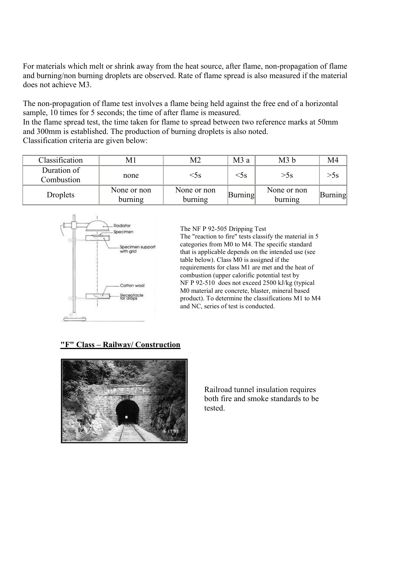For materials which melt or shrink away from the heat source, after flame, non-propagation of flame and burning/non burning droplets are observed. Rate of flame spread is also measured if the material does not achieve M3.

The non-propagation of flame test involves a flame being held against the free end of a horizontal sample, 10 times for 5 seconds; the time of after flame is measured.

In the flame spread test, the time taken for flame to spread between two reference marks at 50mm and 300mm is established. The production of burning droplets is also noted. Classification criteria are given below:

| Classification            | M1                     | M2                     | M3 a    | M <sub>3</sub> b       | M4                 |
|---------------------------|------------------------|------------------------|---------|------------------------|--------------------|
| Duration of<br>Combustion | none                   | $<$ 5s                 | $<$ 5s  | $\geq$ SS              | $>$ 5 $\mathrm{s}$ |
| Droplets                  | None or non<br>burning | None or non<br>burning | Burning | None or non<br>burning | Burning            |



The NF P 92-505 Dripping Test

The "reaction to fire" tests classify the material in 5 categories from M0 to M4. The specific standard that is applicable depends on the intended use (see table below). Class M0 is assigned if the requirements for class M1 are met and the heat of combustion (upper calorific potential test by NF P 92-510 does not exceed 2500 kJ/kg (typical M0 material are concrete, blaster, mineral based product). To determine the classifications M1 to M4 and NC, series of test is conducted.

### **"F" Class – Railway/ Construction**



Railroad tunnel insulation requires both fire and smoke standards to be tested.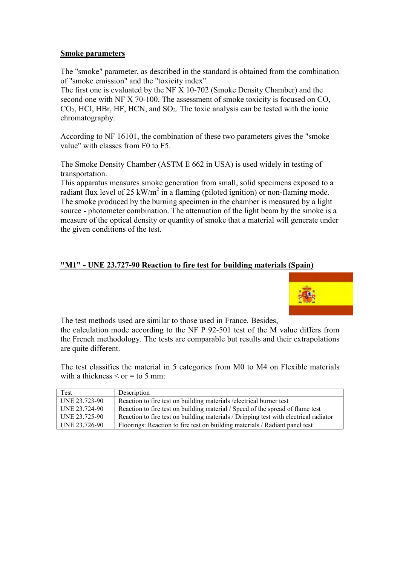### **Smoke parameters**

The "smoke" parameter, as described in the standard is obtained from the combination of "smoke emission" and the "toxicity index".

The first one is evaluated by the NF X 10-702 (Smoke Density Chamber) and the second one with NF X 70-100. The assessment of smoke toxicity is focused on CO,  $CO<sub>2</sub>$ , HCl, HBr, HF, HCN, and SO<sub>2</sub>. The toxic analysis can be tested with the ionic chromatography.

According to NF 16101, the combination of these two parameters gives the "smoke value" with classes from F0 to F5.

The Smoke Density Chamber (ASTM E 662 in USA) is used widely in testing of transportation.

This apparatus measures smoke generation from small, solid specimens exposed to a radiant flux level of 25 kW/m<sup>2</sup> in a flaming (piloted ignition) or non-flaming mode. The smoke produced by the burning specimen in the chamber is measured by a light source - photometer combination. The attenuation of the light beam by the smoke is a measure of the optical density or quantity of smoke that a material will generate under the given conditions of the test.

### **"M1" - UNE 23.727-90 Reaction to fire test for building materials (Spain)**



The test methods used are similar to those used in France. Besides, the calculation mode according to the NF P 92-501 test of the M value differs from the French methodology. The tests are comparable but results and their extrapolations are quite different.

The test classifies the material in 5 categories from M0 to M4 on Flexible materials with a thickness  $\le$  or  $=$  to 5 mm:

| Test          | Description                                                                          |
|---------------|--------------------------------------------------------------------------------------|
| UNE 23.723-90 | Reaction to fire test on building materials / electrical burner test                 |
| UNE 23.724-90 | Reaction to fire test on building material / Speed of the spread of flame test       |
| UNE 23.725-90 | Reaction to fire test on building materials / Dripping test with electrical radiator |
| UNE 23.726-90 | Floorings: Reaction to fire test on building materials / Radiant panel test          |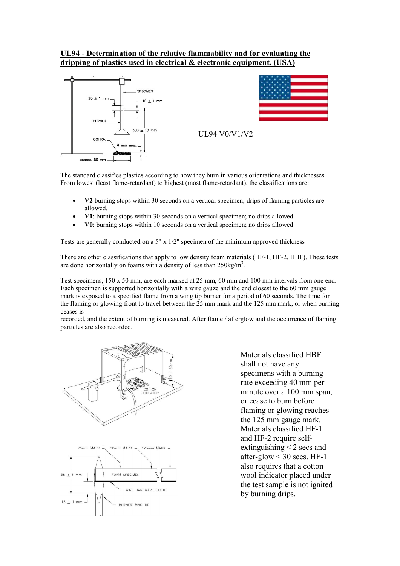### **UL94 - Determination of the relative flammability and for evaluating the dripping of plastics used in electrical & electronic equipment. (USA)**





The standard classifies plastics according to how they burn in various orientations and thicknesses. From lowest (least flame-retardant) to highest (most flame-retardant), the classifications are:

- **V2** burning stops within 30 seconds on a vertical specimen; drips of flaming particles are allowed.
- **V1**: burning stops within 30 seconds on a vertical specimen; no drips allowed.
- **V0**: burning stops within 10 seconds on a vertical specimen; no drips allowed

Tests are generally conducted on a 5" x 1/2" specimen of the minimum approved thickness

There are other classifications that apply to low density foam materials (HF-1, HF-2, HBF). These tests are done horizontally on foams with a density of less than  $250\text{kg/m}^3$ .

Test specimens, 150 x 50 mm, are each marked at 25 mm, 60 mm and 100 mm intervals from one end. Each specimen is supported horizontally with a wire gauze and the end closest to the 60 mm gauge mark is exposed to a specified flame from a wing tip burner for a period of 60 seconds. The time for the flaming or glowing front to travel between the 25 mm mark and the 125 mm mark, or when burning ceases is

recorded, and the extent of burning is measured. After flame / afterglow and the occurrence of flaming particles are also recorded.



Materials classified HBF shall not have any specimens with a burning rate exceeding 40 mm per minute over a 100 mm span, or cease to burn before flaming or glowing reaches the 125 mm gauge mark. Materials classified HF-1 and HF-2 require selfextinguishing < 2 secs and after-glow  $<$  30 secs. HF-1 also requires that a cotton wool indicator placed under the test sample is not ignited by burning drips.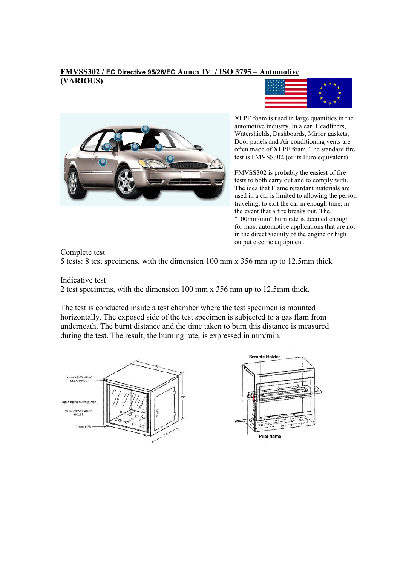#### **FMVSS302 / EC Directive 95/28/EC Annex IV / ISO 3795 – Automotive (VARIOUS)**





XLPE foam is used in large quantities in the automotive industry. In a car, Headliners, Watershields, Dashboards, Mirror gaskets, Door panels and Air conditioning vents are often made of XLPE foam. The standard fire test is FMVSS302 (or its Euro equivalent)

FMVSS302 is probably the easiest of fire tests to both carry out and to comply with. The idea that Flame retardant materials are used in a car is limited to allowing the person traveling, to exit the car in enough time, in the event that a fire breaks out. The "100mm/min" burn rate is deemed enough for most automotive applications that are not in the direct vicinity of the engine or high output electric equipment.

Complete test

5 tests: 8 test specimens, with the dimension 100 mm x 356 mm up to 12.5mm thick

Indicative test

2 test specimens, with the dimension 100 mm x 356 mm up to 12.5mm thick.

The test is conducted inside a test chamber where the test specimen is mounted horizontally. The exposed side of the test specimen is subjected to a gas flam from underneath. The burnt distance and the time taken to burn this distance is measured during the test. The result, the burning rate, is expressed in mm/min.